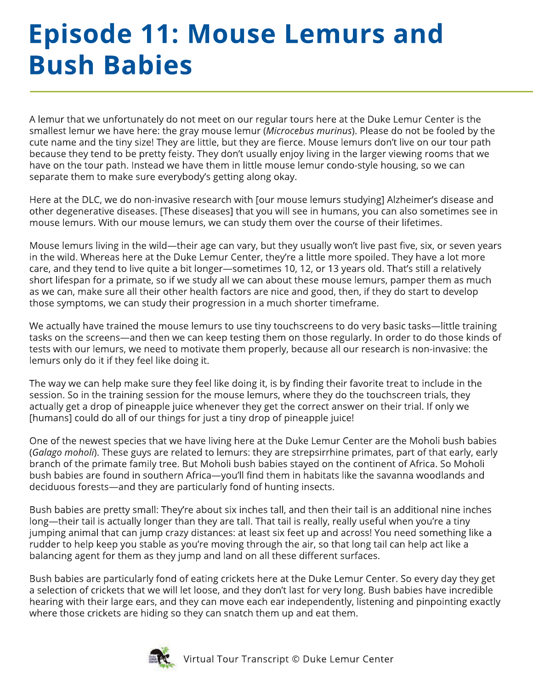## **Episode 11: Mouse Lemurs and Bush Babies**

A lemur that we unfortunately do not meet on our regular tours here at the Duke Lemur Center is the smallest lemur we have here: the gray mouse lemur (*Microcebus murinus*). Please do not be fooled by the cute name and the tiny size! They are little, but they are fierce. Mouse lemurs don't live on our tour path because they tend to be pretty feisty. They don't usually enjoy living in the larger viewing rooms that we have on the tour path. Instead we have them in little mouse lemur condo-style housing, so we can separate them to make sure everybody's getting along okay.

Here at the DLC, we do non-invasive research with [our mouse lemurs studying] Alzheimer's disease and other degenerative diseases. [These diseases] that you will see in humans, you can also sometimes see in mouse lemurs. With our mouse lemurs, we can study them over the course of their lifetimes.

Mouse lemurs living in the wild—their age can vary, but they usually won't live past five, six, or seven years in the wild. Whereas here at the Duke Lemur Center, they're a little more spoiled. They have a lot more care, and they tend to live quite a bit longer—sometimes 10, 12, or 13 years old. That's still a relatively short lifespan for a primate, so if we study all we can about these mouse lemurs, pamper them as much as we can, make sure all their other health factors are nice and good, then, if they do start to develop those symptoms, we can study their progression in a much shorter timeframe.

We actually have trained the mouse lemurs to use tiny touchscreens to do very basic tasks—little training tasks on the screens—and then we can keep testing them on those regularly. In order to do those kinds of tests with our lemurs, we need to motivate them properly, because all our research is non-invasive: the lemurs only do it if they feel like doing it.

The way we can help make sure they feel like doing it, is by finding their favorite treat to include in the session. So in the training session for the mouse lemurs, where they do the touchscreen trials, they actually get a drop of pineapple juice whenever they get the correct answer on their trial. If only we [humans] could do all of our things for just a tiny drop of pineapple juice!

One of the newest species that we have living here at the Duke Lemur Center are the Moholi bush babies (*Galago moholi*). These guys are related to lemurs: they are strepsirrhine primates, part of that early, early branch of the primate family tree. But Moholi bush babies stayed on the continent of Africa. So Moholi bush babies are found in southern Africa—you'll find them in habitats like the savanna woodlands and deciduous forests—and they are particularly fond of hunting insects.

Bush babies are pretty small: They're about six inches tall, and then their tail is an additional nine inches long—their tail is actually longer than they are tall. That tail is really, really useful when you're a tiny jumping animal that can jump crazy distances: at least six feet up and across! You need something like a rudder to help keep you stable as you're moving through the air, so that long tail can help act like a balancing agent for them as they jump and land on all these different surfaces.

Bush babies are particularly fond of eating crickets here at the Duke Lemur Center. So every day they get a selection of crickets that we will let loose, and they don't last for very long. Bush babies have incredible hearing with their large ears, and they can move each ear independently, listening and pinpointing exactly where those crickets are hiding so they can snatch them up and eat them.